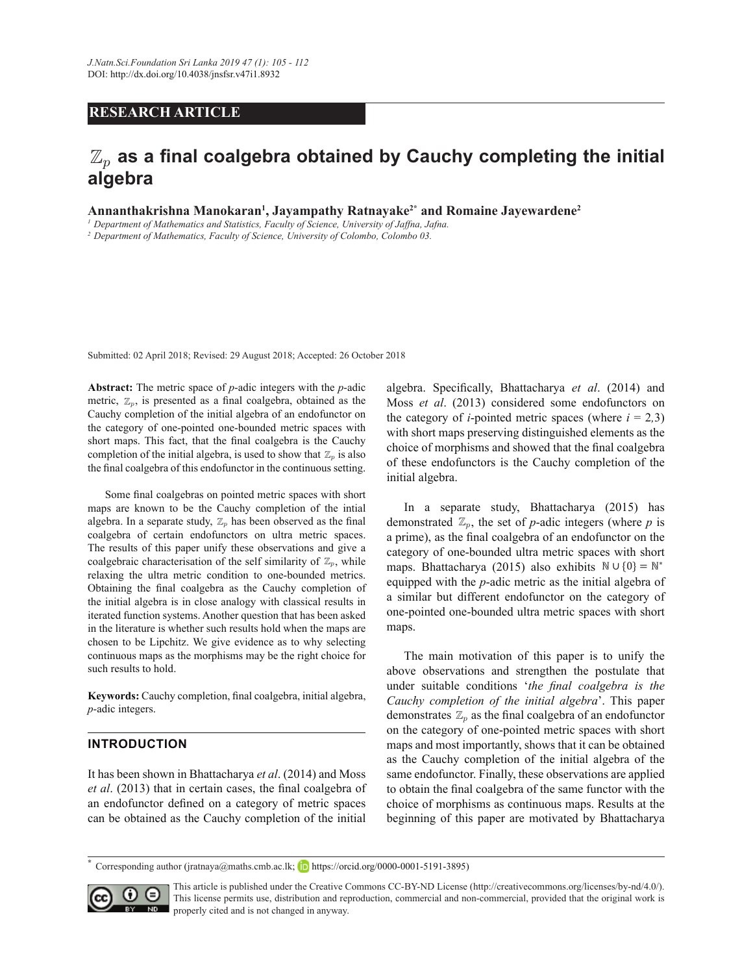## **RESEARCH ARTICLE**

### $\mathbb{Z}_p$  $\mathbb{Z}_p$  as a final coalgebra obtained by Cauchy completing the initial **algebra**

**Annanthakrishna Manokaran<sup>1</sup>, Jayampathy Ratnayake<sup>2\*</sup> and Romaine Jayewardene<sup>2</sup>** 

*<sup>1</sup>Department of Mathematics and Statistics, Faculty of Science, University of Jaffna, Jafna.*

*<sup>2</sup>Department of Mathematics, Faculty of Science, University of Colombo, Colombo 03.*

Submitted: 02 April 2018; Revised: 29 August 2018; Accepted: 26 October 2018

**Abstract:** The metric space of  $p$ -adic integers with the  $p$ -adic metric,  $\mathbb{Z}_p$ , is presented as a final coalgebra, obtained as the Cauchy completion of the initial algebra of an endofunctor on the category of one-pointed one-bounded metric spaces with short maps. This fact, that the final coalgebra is the Cauchy completion of the initial algebra, is used to show that  $\mathbb{Z}_p$  is also the final coalgebra of this endofunctor in the continuous setting.

Obtaining the final coalgebra as the Cauchy completion of the initial algebra is in close analogy with classical results in  $\frac{a \sinh a}{a}$ in the literature is whether such results hold when the maps are maps. iterated function systems. Another question that has been asked chosen to be Lipchitz. We give evidence as to why selecting continuous maps as the morphisms may be the right choice for Some final coalgebras on pointed metric spaces with short maps are known to be the Cauchy completion of the intial algebra. In a separate study,  $\mathbb{Z}_p$  has been observed as the final coalgebra of certain endofunctors on ultra metric spaces. The results of this paper unify these observations and give a coalgebraic characterisation of the self similarity of  $\mathbb{Z}_p$ , while relaxing the ultra metric condition to one-bounded metrics. the initial algebra is in close analogy with classical results in such results to hold.

> BBBBBBBBBBBBBBBBBBBBBBBBBBBBBBBB BBBBBBBBBBBBBBBBBBBBBBBBBBBBBBBBBBBBBBBBBBBBBBBBBBBBBBBBBB **.H\ZRUGV**&DXFK\FRPSOHWLRQ¿QDOFRDOJHEUDLQLWLDODOJHEUD *p*-adic integers.

# **INTRODUCTION**

It has been shown in Bhattacharya *et al*. (2014) and Moss same endofur an endofunctor defined on a category of metric spaces choice of mon can be obtained as the Cauchy completion of the initial *et al.* (2013) that in certain cases, the final coalgebra of

algebra. Specifically, Bhattacharya et al. (2014) and Moss *et al*. (2013) considered some endofunctors on the category of *i*-pointed metric spaces (where  $i = 2,3$ ) with short maps preserving distinguished elements as the choice of morphisms and showed that the final coalgebra of these endofunctors is the Cauchy completion of the initial algebra.

In a separate study, Bhattacharya (2015) has is the final demonstrated  $\mathbb{Z}_p$ , the set of *p*-adic integers (where *p* is a prime), as the final coalgebra of an endofunctor on the category of one-bounded ultra metric spaces with short maps. Bhattacharya (2015) also exhibits  $\mathbb{N} \cup \{0\} = \mathbb{N}^*$ a similar but different endofunctor on the category of one-pointed one-bounded ultra metric spaces with short mans equipped with the *p*-adic metric as the initial algebra of maps.

such results to hold. above observations and strengthen the postulate that  $p$ -adic integers.<br>  $p$ -adic integers.<br>  $p$ -adic integers.<br>  $p$ -adic integers. on the category of one-pointed metric spaces with short BBBBBBBBBBBBBBBBBBBBBBBBBBBBBBBB state of the initial algebra of the initial algebra of the initial algebra of the initial algebra of the initial algebra of the initial algebra of the initial algebra of the initial algebra of the initial algebra of the in  $\theta$  are conservations are applied to  $\theta$  and  $\theta$  is same endofunctor. Finally, these observations are applied the final coalgebra of to obtain the final coalgebra of the same functor with the eases, the man coargeora of the obtain the man coargeora of the same functor with the Cauchy completion of the initial beginning of this paper are motivated by Bhattacharya same endofunctor. Finally, these observations are applied  $\ddot{\mathbf{r}}$ Cauchy completion of the initial algebra<sup>'</sup>. This paper choice of morphisms as continuous maps. Results at the The main motivation of this paper is to unify the under suitable conditions 'the final coalgebra is the maps and most importantly, shows that it can be obtained

 $\overline{\phantom{a}}$ 

<sup>\*</sup> Corresponding author (jratnaya@maths.cmb.ac.lk; **iD** https://orcid.org/0000-0001-5191-3895)



This article is published under the Creative Commons CC-BY-ND License (http://creativecommons.org/licenses/by-nd/4.0/). This license permits use, distribution and reproduction, commercial and non-commercial, provided that the original work is properly cited and is not changed in anyway.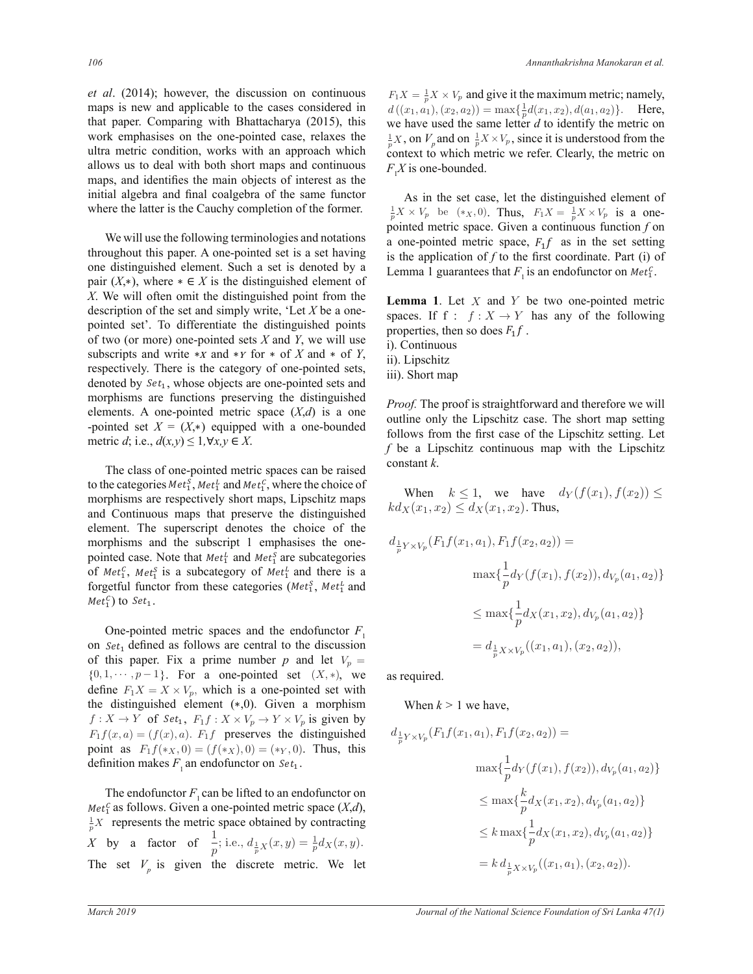*et al.* (2014); however, the discussion on continuous  $F_1X =$ maps is new and applicable to the cases considered in that paper. Comparing with Bhattacharya (2015), this work emphasises on the one-pointed case, relaxes the ultra metric condition, works with an approach which *Allows us to deal with both short maps and continuous* maps, and identifies the main objects of interest as the *L* The *Collman of the same functor* as the initial algebra and final coalgebra of the same functor where the latter is the Cauchy completion of the former.  $\frac{1}{p}$ muar arge ojn object  $\epsilon$ 

We will use the following terminologies and notations throughout this paper. A one-pointed set is a set having noughout this paper. A one-pointed set is a set having<br>one distinguished element. Such a set is denoted by a  $(X, *)$ , where  $* \in X$  is the distinguished element of  $X$  is the distinguished element of  $\frac{X}{X}$ . We will often omit the distinguished point from the Lem description of the set and simply write, 'Let X be a onepointed set'. To differentiate the distinguished points of two (or more) one-pointed sets *X* and *Y*, we will use subscripts and write  $\ast x$  and  $\ast y$  for  $\ast$  of *X* and  $\ast$  of *Y*, expectively. There is the category of one-pointed sets, denoted by  $Set_1$ , whose objects are one-pointed sets and elements. A one-pointed metric space  $(X,d)$  is a one pointed set  $X^-(X, \cdot)$  equipped where  $d$ ; i.e.,  $d(x,y) \leq 1$ ,  $\forall x, y \in X$ . exercise *X* and the pointed metric space  $(X, y)$  is a one-<br>pointed set  $X = (X, *)$  equipped with a one-bounded morphisms are functions preserving the distinguished and  $*$  or  $I$ , ii). Lipschitz  $\mathbf{d}$   $\mathbf{d}$   $\mathbf{d}$ of two (of more) one-pointed sets  $X$  and  $Y$ ,<br>subscripts and write \*x and \*Y for \* of  $X$ respectively. There is the category of one-pointed sets, metric  $a$ , i.e.,  $a(x,y) \ge 1$ , vx, *ε*ιτης απόπει στεπιση<br>σπίς hed noint from ry of one-nointed set  $\Gamma$  $\frac{1}{4}$  $X$ . We will  $\frac{1}{s}$  and  $\frac{1}{s}$  $\hat{a}$ ି respectively. Th

The class of one-pointed metric spaces can be raised The class of one-pointed metric spaces can be raised<br>to the categories  $Met_1^S, Met_1^I$  and  $Met_1^C$ , where the choice of and Continuous maps that preserve the distinguished element. The superscript denotes the choice of the<br>morphisms and the subscript 1 emphasises the onemorphisms and the subscript 1 emphasises the one-<br>pointed case. Note that  $Met_1^L$  and  $Met_3^S$  are subcategories forgetful functor from these categories ( $Met_1^S$ ,  $Met_1^L$  and for the categories  $n_1, n_2, n_3, n_4, n_5, n_6, n_7, n_8, n_9$  where the choice of morphisms are respectively short maps, Lipschitz maps and committed maps that preserve the distinguished element. The superscript denotes the choice of the pointed case. Note that  $met_1$  and  $met_1$  are subcategories<br>of  $Met_1^c$ ,  $Met_2^c$  is a subcategory of  $Met_1^L$  and there is a morphisms and the subscript 1 emphasises the  $Met_1^C$  to  $Set_1$ . The class of one-pointed metric spaces can be far<br>the categories  $Met_1^S$ ,  $Met_1^L$  and  $Met_1^C$ , where the choic morphisms and the subscript 1 emphasises the<br>pointed case. Note that  $Met_1^L$  and  $Met_2^S$  are subcatego  $C = \frac{1}{2}$ form of  $Met_1^C$ ,  $Met_2^C$  is a subcategory of  $Met_1^C$  and there is a subcategories of  $Met_2^C$ . The class of one-pointed metric space ŽƌƌĞĐƚŝŽŶƐ  $\mathfrak{m}$ <sub> $\mathfrak{m}$ </sub>  $\mathfrak{m}$   $\mathfrak{m}$ 

 $\overline{a}$ on  $Set_1$  defined as follows are central to the discussion  $\{0, 1, \cdots, p-1\}$ . For a one-pointed set  $(X, *)$ , we a define  $F_1X = X \times V_p$ , which is a one-pointed set with the distinguished element (c.0). Given a marnhim ϭϭ͘ ܵ݁ݐ<sup>ଵ</sup> One-pointed metric spaces and the endofunctor  $F_1$  $\overline{a}$ define  $T_1 X = X \times v_p$ , which is a one-pointed set with<br>the distinguished element (\*,0). Given a morphism  $F_1 f(x, a) = (f(x), a)$ .  $F_1 f$  preserves the distinguished point of  $F_1 f(x, a) = (f(x), a)$ . ( $f(x, a)$ ) ( $a$ ) Thus this  $f: X \to Y$  of  $Set_1, F_1f: X \times V_p \to Y \times V_p$  is given by  $\overline{c}$ of this paper. Fix a prime number *p* and let  $V_p =$ One-pointed m point as  $F_1 f(*_X, 0) = (f(*_X), 0) = (*_Y, 0)$ . Thus, this definition makes  $F_1$  an endofunctor on  $Set_1$ .  $\overline{a}$ 

> The endofunctor  $F_1$  can be lifted to an endofunctor on  $\frac{1}{p}X$  represents the metric space obtained by contracting *Met*<sup>*c*</sup><sub>1</sub> as follows. Given a one-pointed metric space  $(X,d)$ , X by a factor of  $\frac{1}{p}$ ; i.e.,  $d_{\frac{1}{p}X}(x, y) = \frac{1}{p}d_X(x, y)$ . The set  $V_p$  is given the discrete metric. We let

 $\frac{1}{p}X \times V_p$  and give it the maximum metric; namely,  $d((x_1, a_1), (x_2, a_2)) = \max\{\frac{1}{n}\}$  $\frac{1}{p}d(x_1, x_2), d(a_1, a_2)\}.$  Here, we have used the same letter  $d$  to identify the metric on  $\frac{1}{p}X$ , on  $V_p$  and on  $\frac{1}{p}X \times V_p$ , since it is understood from the  $\frac{p}{p}$ , on  $\frac{p}{p}$  and on  $\frac{p}{p}$  and  $\frac{p}{p}$  and  $\frac{p}{p}$  and  $\frac{p}{p}$  and  $\frac{p}{p}$  and  $\frac{p}{p}$  and  $\frac{p}{p}$  and  $\frac{p}{p}$  and  $\frac{p}{p}$  and  $\frac{p}{p}$  and  $\frac{p}{p}$  and  $\frac{p}{p}$  and  $\frac{p}{p}$  and  $\frac{p}{p}$  $F_1 X$  is one-bounded.

As in the set case, let the distinguished element of  $\frac{1}{p}X \times V_p$  be  $(*_X, 0)$ . Thus,  $F_1X = \frac{1}{p}X \times V_p$  is a onepointed metric space. Given a continuous function  $f$  on a one-pointed metric space,  $F_1 f$  as in the set setting is the condition of the the first coordinate. But (i) of Lemma 1 guarantees that  $F_1$  is an endofunctor on  $Met_1^C$ . is the application of  $f$  to the first coordinate. Part (i) of

 $\overline{\phantom{a}}$ **Lemma 1.** Let  $X$  and  $Y$  be two one-pointed metric properties, then so does  $F_1 f$ .<br>i). Continuous e, Let A be a one-<br>spaces. If  $f : f : X \to Y$  has any of the following<br>stinguished points

- 
- 
- iii). Short map

one  $\frac{1}{2}$   $\frac{1}{2}$   $\frac{1}{2}$   $\frac{1}{2}$   $\frac{1}{2}$   $\frac{1}{2}$   $\frac{1}{2}$  $\sum_{i=1}^{3}$  outline only the Lipschitz case. The short map setting f be a Lipschitz continuous map with the Lipschitz **Proof.** The proof is straightforward and therefore we will follows from the first case of the Lipschitz setting. Let constant *k*.

> where  $k \leq 1$ , we have  $k$ <br> $kd_X(x_1, x_2) \leq d_X(x_1, x_2)$ . Thus, When  $k \leq 1$ , we have  $d_Y(f(x_1), f(x_2)) \leq$

$$
d_{\frac{1}{p}Y \times V_p}(F_1f(x_1, a_1), F_1f(x_2, a_2)) =
$$
  

$$
\max\{\frac{1}{p}d_Y(f(x_1), f(x_2)), d_{V_p}(a_1, a_2)\}
$$
  

$$
\leq \max\{\frac{1}{p}d_X(x_1, x_2), d_{V_p}(a_1, a_2)\}
$$
  

$$
= d_{\frac{1}{p}X \times V_p}((x_1, a_1), (x_2, a_2)),
$$

as required.

When  $k > 1$  we have,

$$
d_{\frac{1}{p}Y \times V_p}(F_1f(x_1, a_1), F_1f(x_2, a_2)) =
$$
  

$$
\max\{\frac{1}{p}d_Y(f(x_1), f(x_2)), d_{V_p}(a_1, a_2)\}
$$
  

$$
\leq \max\{\frac{k}{p}d_X(x_1, x_2), d_{V_p}(a_1, a_2)\}
$$
  

$$
\leq k \max\{\frac{1}{p}d_X(x_1, x_2), d_{V_p}(a_1, a_2)\}
$$
  

$$
= k d_{\frac{1}{p}X \times V_p}((x_1, a_1), (x_2, a_2)).
$$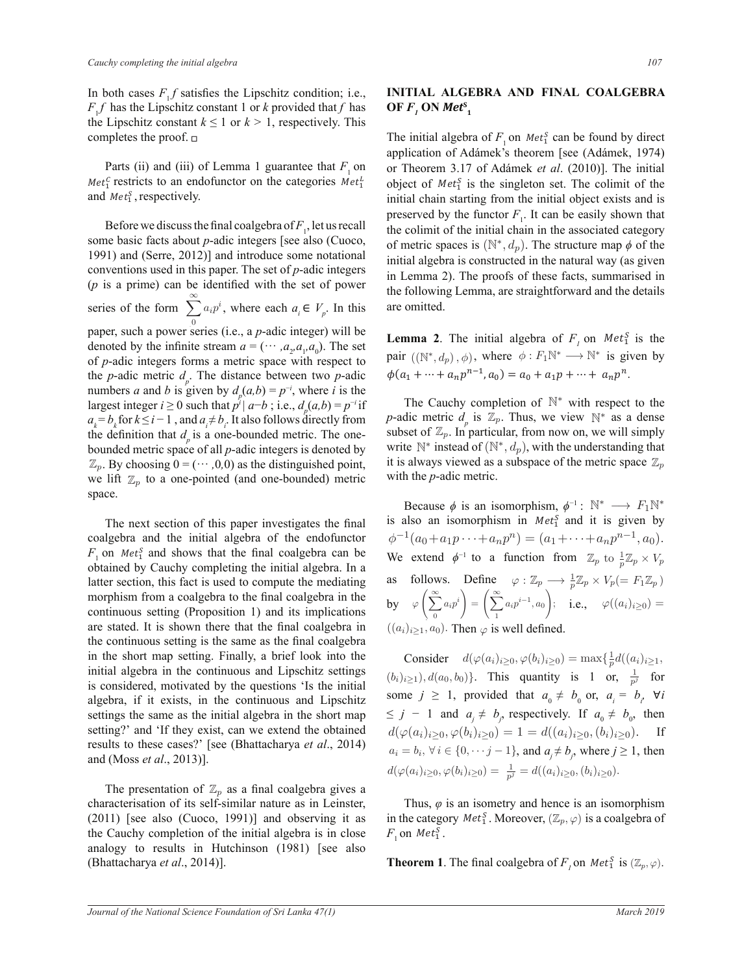In both cases  $F_1 f$  satisfies the Lipschitz condition; i.e.,  $F_1 f$  has the Lipschitz constant 1 or *k* provided that *f* has  $F_1 f$  has the Lipschitz constant 1 or *k* provided that *f* has the Lipschitz constant  $k \leq 1$  or  $k > 1$ , respectively. This completes the proof.  $\Box$ ϭϯ͘ ܵ݁ݐ<sup>ଵ</sup> J ϭϮ͘ ݂

Parts (ii) and (iii) of Lemma 1 guarantee that  $F_1$  on restricts to an endofunctor on the categories  $Met_1^L$  objects to an endofunctor on the categories  $Met_1^L$  objects and  $Met_1^S$ , respectively.

Before we discuss the final coalgebra of  $F_1$ , let us recall some basic facts about *p*-adic integers [see also (Cuoco, conventions used in this paper. The set of *p*-adic integers  $\frac{m}{p}$  I<sub>n Le</sub>  $\sigma$  can be it  $(p$  is a prime) can be identified with the set of power series of the form  $\sum_{0}^{\infty}$ denoted by the infinite stream  $a = (·· , a_2, a_1, a_0)$ . The set Lemma of *p*-adic integers forms a metric space with respect to of *p*-adic integers forms a metric space with respect to numbers *a* and *b* is given by  $d_p(a,b) = p^{-i}$ , where *i* is the  $\overline{a}$ 1991) and (Serre, 2012)] and introduce some notational  $\overline{0}$ series of the form  $\sum a_i p^i$ , where each  $a_i \in V_p$ . In this paper, such a power series (i.e., a *p*-adic integer) will be the *p*-adic metric  $d_p$ . The distance between two *p*-adic largest integer  $i \ge 0$  such that  $p^{i'}|a-b$ ; i.e.,  $d_{p}(a,b) = p^{-i}$  if  $a_k = b_k$  for  $k \le i - 1$ , and  $a_i \ne b_i$ . It also follows directly from the definition that  $d_p$  is a one-bounded metric. The onebounded metric space of all *p*-adic integers is denoted by write  $\mathbb N$ distinguished points  $\mathbb{Z}_p$  $\mathbb{Z}_p$ . By choosing  $0 = (\cdots, 0, 0)$  as the distinguished point, we lift  $\mathbb{Z}_p$  to a one-pointed (and one-bounded) metric with space. space. ϭϮ͘ ݂  $\mathbf{u}$  $\frac{1}{2}$  before we discuss the final codigeora of  $\frac{1}{2}$ , for as feed to  $\frac{1}{2}$ 

results to these cases?' [see (Bhattacharya *et al.*, 2014) and (Moss *et al.*, 2013)]. setting?' and 'If they exist, can we extend the obtained  $d(\varphi(a, b, b, b, a, b, b))$ The next section of this paper investigates the final is coalgebra and the initial algebra of the endofunctor  $\phi$  $F_1$  on *Met*<sup>5</sup> and shows that the final coalgebra can be latter section, this fact is used to compute the mediating obtained by Cauchy completing the initial algebra. In a morphism from a coalgebra to the final coalgebra in the continuous setting (Proposition 1) and its implications are stated. It is shown there that the final coalgebra in the continuous setting is the same as the final coalgebra in the short map setting. Finally, a brief look into the initial algebra in the continuous and Lipschitz settings is considered, motivated by the questions 'Is the initial algebra, if it exists, in the continuous and Lipschitz settings the same as the initial algebra in the short map

The presentation of  $\mathbb{Z}_p$  as a final coalgebra gives a  $(2011)$  [see also  $(Cu)$  and  $Bu$  and observing if the Cauchy completion of the initial algebra is in close characterisation of its self-similar nature as in Leinster,  $(2011)$  [see also  $(Cuoco, 1991)$ ] and observing it as in the analogy to results in Hutchinson (1981) [see also  $(Bhattacharya et al., 2014)].$ 

## **INITIAL ALGEBRA AND FINAL COALGEBRA**  $\mathbf{OF} F_1 \mathbf{ON} \mathbf{Met}^S_1$

object of  $Met_1^S$  is the singleton set. The colimit of the The initial algebra of  $F_1$  on  $Met_1^S$  can be found by direct or Theorem 3.17 of Adámek *et al.* (2010)]. The initial application of Adámek's theorem [see (Adámek, 1974)  $\frac{11}{11}$  preserved by the functor *F*<sub>1</sub>. It can be easily shown that initial chain starting from the initial object exists and is the colimit of the initial chain in the associated category  $\epsilon$ oco, of metric spaces is ( $\mathbb{N}^*, d_p$ ). The structure map *φ* of the The initial algebra of  $F_1$  on  $Met_3^S$  can be found by dividend a factor of Adding to the second local dividend a 10 initial algebra is constructed in the natural way (as given in Lemma 2). The proofs of these facts, summarised in wer the following Lemma, are straightforward and the details are omitted. application of Adámek's theorem [see (Adámek, 1974)  $\frac{1}{2}$ 

> **Lemma 2**. The initial algebra of  $F_i$  on  $Met_1^S$  is the s given  $\sin A$   $\sin B$   $\sin A$   $\sin C$   $\cos A$   $\sin C$   $\sin C$   $\sin C$   $\sin C$   $\sin C$   $\sin C$   $\sin C$   $\sin C$   $\sin C$   $\sin C$   $\sin C$   $\sin C$   $\sin C$   $\sin C$   $\sin C$   $\sin C$   $\sin C$   $\sin C$   $\sin C$   $\sin C$   $\sin C$   $\sin C$   $\sin C$   $\sin C$   $\sin C$   $\sin C$   $\sin C$   $\sin C$   $\sin C$   $\sin C$   $\sin$ pair  $((\mathbb{N}^*, d_p), \phi)$ , where  $\phi : F_1 \mathbb{N}^* \longrightarrow \mathbb{N}^*$  is given by

The Cauchy completion of  $\mathbb{N}^*$  with respect to the oint, it is always viewed as a subspace of the metric space  $\mathbb{Z}_p$ From *p*-adic metric  $d_p$  is  $\mathbb{Z}_p$ . Thus, we view  $\mathbb{N}^*$  as a dense etric. The one-<br>subset of  $\mathbb{Z}_p$ . In particular, from now on, we will simply \* instead of  $(\mathbb{N}^*, d_p)$ , with the understanding that with the  $p$ -adic metric.

**ICTOT**  $\phi^{-1}(a_0 + a_1 p \cdots + a_n p^n) = (a_1 \cdots$ In a<br>tting as follows. Define  $\varphi : \mathbb{Z}_p \longrightarrow \frac{1}{p} \mathbb{Z}_p \times V_p (= F_1 \mathbb{Z}_p)$  $\lim_{\delta \to 0} \log \sqrt{\frac{\infty}{\sum}}$ Because  $\phi$  is an isomorphism,  $\phi^{-1}$ :  $\mathbb{N}^* \longrightarrow F_1 \mathbb{N}^*$ is also an isomorphism in  $Met_1^S$  and it is given by We extend  $\phi^{-1}$  to a function from  $\mathbb{Z}_p$  to  $\frac{1}{p} \mathbb{Z}_p \times V_p$  $^{-1}(a_0 + a_1 p \cdots + a_n p^n) = (a_1 + \cdots + a_n p^{n-1}, a_0).$  $\left(\sum_{i=0}^{\infty}a_ip^i\right)=\left(\sum_{i=1}^{\infty}\right)$ by  $\varphi\left(\sum_{0}^{\infty}a_{i}p^{i}\right)=\left(\sum_{1}^{\infty}a_{i}p^{i-1},a_{0}\right);$  i.e.,  $\varphi((a_{i})_{i\geq0})=$  $((a_i)_{i\geq 1}, a_0)$ . Then  $\varphi$  is well defined.  $\varphi$  ( $a_0$   $+$ as follows. Define  $\varphi : \mathbb{Z}_n \longrightarrow \frac{1}{\mathbb{Z}}_n \times V_n$  $((a_i)_{i>1}, a_0)$ . Then  $\varphi$  is well defined.

 $(b_i)_{i\geq 1}, d(a_0, b_0)$ . This quantity is 1 or,  $\frac{1}{p^j}$  for  $B = 3$ , problems that  $a_0$  /  $a_0$  = 3,  $a_i$  =  $a_i$  +  $a_i$  $\text{d}(\varphi(a_i)_{i\geq 0}, \varphi(b_i)_{i\geq 0}) = 1 = d((a_i)_{i\geq 0}, (b_i)_{i\geq 0}).$  If a *et al.*, 2014)  $a_i = b_i$ ,  $\forall i \in \{0, \dots j-1\}$ , and  $a_j \neq b_j$ , where  $j \ge 1$ , then  $d(\varphi(a_i)_{i\geq 0}, \varphi(b_i)_{i\geq 0}) = \frac{1}{p^j} = d((a_i)_{i\geq 0}, (b_i)_{i\geq 0}).$ some  $j \ge 1$ , provided that  $a_0 \ne b_0$  or,  $a_i = b_i$ ,  $\forall i$ Lipschitz some  $j \leq 1$ , provided that  $a_0 \neq b_0$  or,  $a_i \rightarrow b_i$  vi<br>short map  $\leq j - 1$  and  $a_j \neq b_j$ , respectively. If  $a_0 \neq b_0$ , then Consider  $d(\varphi(a_i)_{i\geq 0}, \varphi(b_i)_{i\geq 0}) = \max\{\frac{1}{n}\}$ Consider  $d(\varphi(a_i)_{i\geq 0}, \varphi(b_i)_{i\geq 0}) = \max\{\frac{1}{p}d((a_i)_{i\geq 1},\varphi(b_i)_{i\geq 0})\}$  $p_i \geq 0, \varphi(b_i)_{i \geq 0}) = \frac{1}{p^j} = d((a_i)_{i \geq 0}, (b_i)_{i \geq 0}).$  $a_i = o_i, \forall i \in \{0, \dots, j-1\}$ , and  $a_j \neq o_j$ , where j  $\frac{1}{\sqrt{2}}$ 

> Thus,  $\varphi$  is an isometry and hence is an isomorphism I nus,  $\varphi$  is an isometry and nence is an isomorphism<br>in the category  $Met_1^S$ . Moreover,  $(\mathbb{Z}_p, \varphi)$  is a coalgebra of  $F_1$  on  $Met_1^S$ .

**Theorem 1**. The final coalgebra of  $F_i$  on  $Met_1^S$  is  $(\mathbb{Z}_p, \varphi)$ .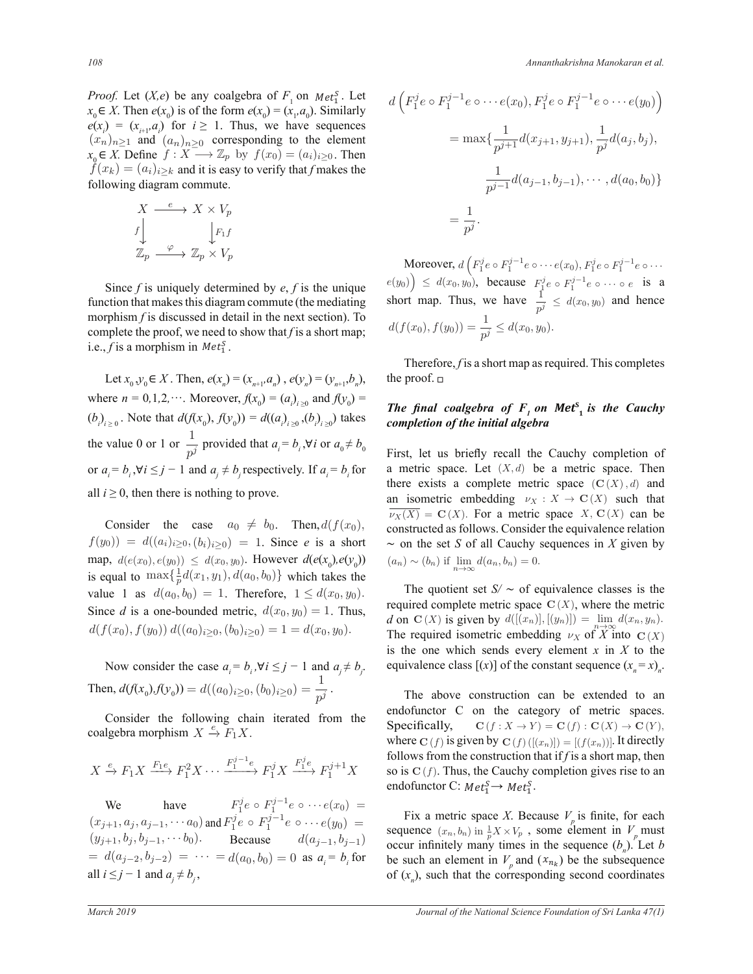*Proof.* Let  $(X,e)$  be any coalgebra of  $F_1$  on  $Met_1^S$ . Let  $e(x_i) = (x_{i+1}, a_i)$  for  $i \ge 1$ . Thus, we have sequences  $x_0 \in X$ . Then  $e(x_0)$  is of the form  $e(x_0) = (x_1, a_0)$ . Similarly  $(x_n)_{n\geq 1}$  and  $(a_n)_{n\geq 0}$  corresponding to the element  $x_0$  ∈ X. Define  $f: X \longrightarrow \mathbb{Z}_p$  by  $f(x_0) = (a_i)_{i \ge 0}$ . Then  $f(x_k) = (a_i)_{i\geq k}$  and it is easy to verify that *f* makes the following diagram commute.

$$
\begin{array}{ccc}\nX & \xrightarrow{e} & X \times V_p \\
f & & \downarrow F_1 f \\
\mathbb{Z}_p & \xrightarrow{\varphi} & \mathbb{Z}_p \times V_p\n\end{array}
$$

 Since *f* is uniquely determined by *ef* is the unique function that makes this diagram commute (the mediating morphism *f* is discussed in detail in the next section). To complete the proof, we need to show that f is a short map; i.e., *f* is a morphism in  $Met_1^S$ .

Let  $x_0, y_0 \in X$ . Then,  $e(x_n) = (x_{n+1}, a_n)$ ,  $e(y_n) = (y_{n+1}, b_n)$ , where  $n = 0, 1, 2, \dots$ . Moreover,  $f(x_0) = (a_i)_{i \ge 0}$  and  $f(y_0) =$ <br>The final each and each and  $f(x_0) = f(x_0)$  and  $f(x_0) = f(x_0)$  $(b_i)_{i \geq 0}$ . Note that  $d(f(x_0), f(y_0)) = d((a_i)_{i \geq 0}, (b_i)_{i \geq 0})$  takes  $c_i$ the value 0 or 1 or  $\frac{1}{p^j}$  provided that  $a_i = b_i$ ,  $\forall i$  or  $a_0 \neq b_0$ or  $a_i = b_i$ ,  $\forall i \le j - 1$  and  $a_j \ne b_j$  respectively. If  $a_i = b_i$  for a metric space. Let  $(X, d)$ all  $i \ge 0$ , then there is nothing to prove. an isome  $\mathbf{B}$  $d(f(x_0), f(y_0)) = d((a_0)_{t>0}, (b_0)_{t>0})$  takes completion of the initial algeb  $\epsilon$   $\frac{1}{b}$  provided that  $a_i = b_i$ ,  $\forall i$  or  $a_0 \neq b_0$  First let us briefly recall the G

Consider the case  $a_0 \neq b_0$ . Then,  $d(f(x_0))$ ,  $f(y_0) = d((a_i)_{i\geq 0}, (b_i)_{i\geq 0}) = 1$ . Since *e* is a short  $\text{map}, d(e(x_0), e(y_0)) \leq d(x_0, y_0).$  However  $d(e(x_0), e(y_0))$ is equal to  $\max\{\frac{1}{p}\}$  $\frac{1}{p}d(x_1,y_1), d(a_0,b_0)\}\$  which takes the value 1 as  $d(a_0, b_0) = 1$ . Therefore,  $1 \leq d(x_0, y_0)$ . Since *d* is a one-bounded metric,  $d(x_0, y_0) = 1$ . Thus,  $d(f(x_0), f(y_0)) d((a_0)_{i>0}, (b_0)_{i>0}) = 1 = d(x_0, y_0).$ 

> Now consider the case  $a_i = b_i$ ,  $\forall i \leq j - 1$  and  $a_j \neq b_j$ . Then,  $d(f(x_0), f(y_0)) = d((a_0)_{i \ge 0}, (b_0)_{i \ge 0}) = \frac{1}{p^j}$ .

> Consider the following chain iterated from the coalgebra morphism  $X \stackrel{e}{\rightarrow} F_1 X$ .

$$
X\xrightarrow{e} F_1X \xrightarrow{F_1e} F_1^2X \cdots \xrightarrow{F_1^{j-1}e} F_1^jX \xrightarrow{F_1^je} F_1^{j+1}X
$$

We have  $F_1^j e \circ F_1^{j-1} e \circ \cdots e(x_0) =$  $(x_{j+1}, a_j, a_{j-1}, \cdots a_0)$  and  $F_1^j e \circ F_1^{j-1} e \circ \cdots e(y_0) =$  $(y_{j+1}, b_j, b_{j-1}, \cdots b_0)$ . Because  $d(a_{j-1}, b_{j-1})$  $d(a_{j-2}, b_{j-2}) = \cdots = d(a_0, b_0) = 0$  as  $a_i = b_i$  for all  $i \leq j - 1$  and  $a_j \neq b_j$ ,

$$
d\left(F_1^j e \circ F_1^{j-1} e \circ \cdots e(x_0), F_1^j e \circ F_1^{j-1} e \circ \cdots e(y_0)\right)
$$
  
= 
$$
\max\left\{\frac{1}{p^{j+1}}d(x_{j+1}, y_{j+1}), \frac{1}{p^j}d(a_j, b_j), \frac{1}{p^{j-1}}d(a_{j-1}, b_{j-1}), \cdots, d(a_0, b_0)\right\}
$$
  
= 
$$
\frac{1}{p^j}.
$$

Moreover,  $d\left(F_1^j e \circ F_1^{j-1} e \circ \cdots e(x_0), F_1^j e \circ F_1^{j-1} e \circ \cdots \right)$  $(e(y_0)) \leq d(x_0, y_0)$ , becaus  $\overline{1}$ , because  $F_1^j e \circ F_1^{j-1} e \circ \cdots \circ e$  is a short map. Thus, we have  $\frac{1}{p^j} \leq d(x_0, y_0)$  and hence  $d(f(x_0), f(y_0)) = \frac{1}{p^j} \leq d(x_0, y_0).$  $g_{(n)}$ ) < d on map. 1 mus, we

BBBBBBBBBBBBBBBBBBBBBBBBBBBBBBBBBBB Therefore, *f* is a short map as required. This completes BBBBBBBBBBBBBBBBBBBBBBBBBBBBBBBBBBBBBBBBBBBBBBBBBBBBBB the proof.  $\Box$ 

#### $f(y_0)$  = The final coalgebra of  $F_1$  on Met<sup>s</sup> is the Cauchy  $\mathcal{L}(\mathbf{b}_i)_{i\geq 0}$  takes completion of the initial algebra BBBBBBBBBBBBBBBBBBBBBBBBBBBBBBBBBBB  $\overline{\mathbf{v}}$  , we have  $\mathbf{v}$  and  $\mathbf{v}$  and  $\mathbf{v}$  and  $\mathbf{v}$

 $\sum_i$ ,  $\forall i$  or  $u_0 + v_0$  First, let us briefly recall the Cauchy completion of there exists a complete metric space  $(C(X), d)$  and as  $\overline{\nu_X(X)} = \mathbf{C}(X)$ . For a metric space  $X$ ,  $\mathbf{C}(X)$  can be an isometric embedding  $v_X : X \to \mathbf{C}(X)$  such that constructed as follows. Consider the equivalence relation  $\mathbb{R}^n$  $(y_0)$   $(a_n) \sim (b_n)$  if  $\lim_{n \to \infty} d(a_n, b_n) = 0.$ a metric space. Let  $(X, d)$  be a metric space. Then  $\sim$  on the set *S* of all Cauchy sequences in *X* given by can be  $\frac{an}{b}$ 

> $\frac{1}{\sqrt{2}}$ required complete metric space  $C(X)$ , where the metric The required isometric embedding  $\nu_X$  of  $\overline{X}$  into  $\mathbf{C}(X)$ *d* on C (X) is given by  $d([(x_n)], [(y_n)]) = \lim_{n \to \infty} d(x_n, y_n)$ . The quotient set  $S' \sim$  of equivalence classes is the is the one which sends every element  $x$  in  $X$  to the equivalence class  $[(x)]$  of the constant sequence  $(x_n = x)_n$ .

 The above construction can be extended to an endofunctor C on the category of metric spaces. Specifically,  $\mathbf{C}(f : X \to Y) = \mathbf{C}(f) : \mathbf{C}(X) \to \mathbf{C}(Y)$ , spectricarry,  $C(j \cdot A \rightarrow T) = C(j) \cdot C(A) \rightarrow C(T)$ ,<br>where  $C(f)$  is given by  $C(f) ([(x_n)]) = [(f(x_n))]$ . It directly follows from the construction that if *f* is a short map, then so is  $C(f)$ . Thus, the Cauchy completion gives rise to an endofunctor C:  $Met_1^S \rightarrow Met_1^S$ .

Fix a metric space *X*. Because  $V_p$  is finite, for each  $\epsilon(y_0)$  = sequence  $(x_n, b_n)$  in  $\frac{1}{p}X \times V_p$ , some element in  $V_p$  must occur infinitely many times in the sequence  $(b_n)$ . Let *b* be such an element in  $V_p$  and  $(x_{n_k})$  be the subsequence of  $(x_n)$ , such that the corresponding second coordinates

 $\mathcal{L}_{\mathcal{A}}$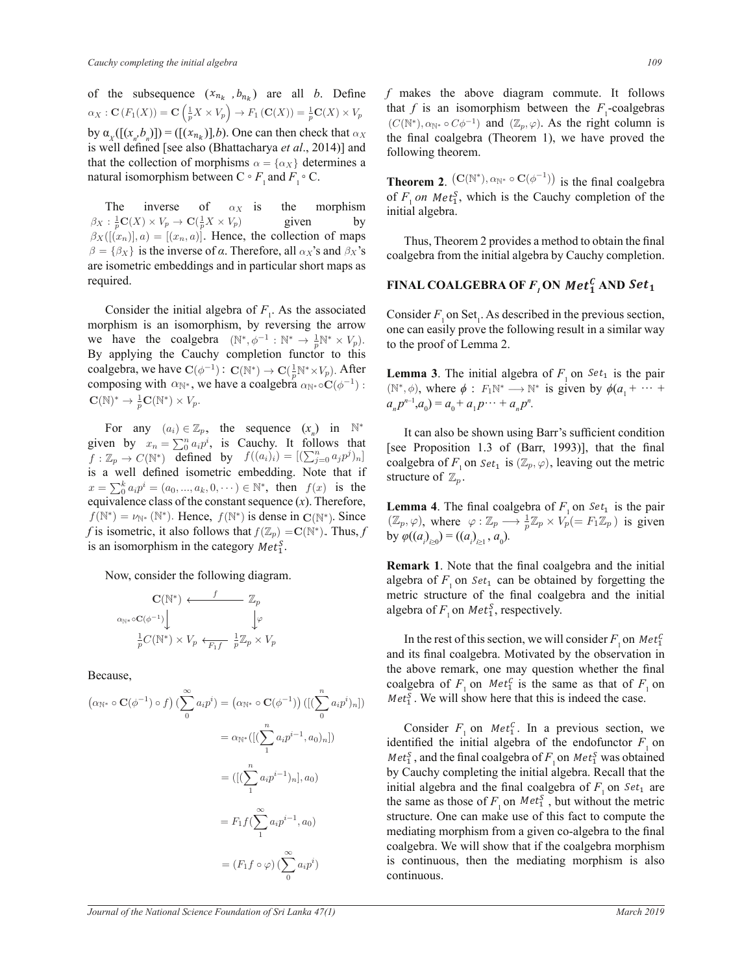of the subsequence  $(x_{n_k}, b_{n_k})$  are all *b*. Define  $\frac{S(p^{21} \wedge p)}{P}$   $\frac{I_1}{P}$ is well defined [see also (Bhattacharya et al., 2014)] and ism between C  $\alpha_X : \mathbf{C}(F_1(X)) = \mathbf{C}\left(\frac{1}{p}X \times V_p\right) \to F_1\left(\mathbf{C}(X)\right) = \frac{1}{p}\mathbf{C}(X) \times V_p$  that by  $\alpha_X([(x_n, b_n)]) = ([(x_{n_k})], b)$ . One can then check that  $\alpha_X$ that the collection of morphisms  $\alpha = {\alpha_X}$  determines a natural isomorphism between  $C \circ F_1$  and  $F_1 \circ C$ .

se of  $\rightarrow$  C( $\frac{2}{p}X \times V_p$ )  $\beta = {\beta_X}$  is the inverse of *α*. Therefore, all  $\alpha_X$ 's and  $\beta_X$ 's ϭϯ͘ ܵ݁ݐ<sup>ଵ</sup>  $\beta_X : \frac{1}{p}C(X) \times V_p \to C(\frac{1}{p}X \times V_p)$  given by  $\beta_X([(x_n)], a) = [(x_n, a)]$ . Hence, the collection of maps are isometric embeddings and in particular short maps as The inverse of  $\alpha_X$  is the morphism required.  $\alpha_X$  is the m

Consider the finitial algebra of  $P_1$ . As the associated morphism is an isomorphism, by reversing the arrow Consider the initial algebra of  $F_1$ . As the associated C we have the coalgebra  $(N^*, \phi^{-1} : N^* \to \frac{1}{p}N^* \times V_p)$ . By applying the Cauchy completion functor to this coalgebra, we have  $C(\phi^{-1}): C(\mathbb{N}^*) \to C(\frac{1}{p}\mathbb{N}^* \times V_p)$ . After Lemma 3. composing with  $\alpha_{\mathbb{N}^*}$ , we have a coalgebra  $\alpha_{\mathbb{N}^*} \circ C(\phi^{-1})$  :  $\mathbf{C}(\mathbb{N})^* \to \frac{1}{p}\mathbf{C}(\mathbb{N}^*) \times V_p.$ 

> For any  $(a_i) \in \mathbb{Z}_p$ , the sequence  $(x_n)$  in  $\mathbb{N}^*$ given by  $x_n = \sum_0^n a_i p^i$ , is Cauchy. It follows that [see  $f : \mathbb{Z}_p \to C(\mathbb{N}^*)$  defined by  $f((a_i)_i) = [(\sum_{j=0}^n a_j p^j)_n]$  contains  $\frac{1}{2}$   $\frac{1}{2}$   $\frac{1}{2}$   $\frac{1}{2}$   $\frac{1}{2}$   $\frac{1}{2}$   $\frac{1}{2}$   $\frac{1}{2}$   $\frac{1}{2}$   $\frac{1}{2}$   $\frac{1}{2}$   $\frac{1}{2}$   $\frac{1}{2}$   $\frac{1}{2}$   $\frac{1}{2}$   $\frac{1}{2}$   $\frac{1}{2}$   $\frac{1}{2}$   $\frac{1}{2}$   $\frac{1}{2}$   $\frac{1}{2}$   $\frac{1}{2}$   $x = \sum_{0}^{k} a_i p^i = (a_0, ..., a_k, 0, \dots) \in \mathbb{N}^*$ , then  $f(x)$  is the settled and  $f(x)$ .  $x = \sum_{i=0}^{\infty} a_i p = (a_0, ..., a_k, \sigma)$   $\in \mathbb{N}$ , and  $f(x)$  is the constant sequence (*x*). Therefore,  $f(\mathbb{N}^*) = \nu_{\mathbb{N}^*}(\mathbb{N}^*)$ . Hence,  $f(\mathbb{N}^*)$  is dense in  $\mathbf{C}(\mathbb{N}^*)$ . Since . (2) *f* is isometric, it also follows that  $f(\mathbb{Z}_p) = \mathbb{C}(\mathbb{N}^*)$ . Thus, *f* is an isomorphism in the category  $Met<sub>1</sub><sup>S</sup>$ . Ĩ  $\sum$  is  $\sum$

> > Now, consider the following diagram.

$$
\mathbf{C}(\mathbb{N}^*) \leftarrow f \mathbb{Z}_p
$$
  
\n
$$
\alpha_{\mathbb{N}^*} \circ \mathbf{C}(\phi^{-1}) \downarrow \qquad \qquad \downarrow \varphi
$$
  
\n
$$
\frac{1}{p} C(\mathbb{N}^*) \times V_p \leftarrow f \frac{1}{F_1 f} \frac{1}{p} \mathbb{Z}_p \times V_p
$$

Because.

$$
(\alpha_{\mathbb{N}^*} \circ \mathbf{C}(\phi^{-1}) \circ f) \left(\sum_{0}^{\infty} a_i p^i\right) = (\alpha_{\mathbb{N}^*} \circ \mathbf{C}(\phi^{-1})) \left(\left[\left(\sum_{0}^n a_i p^i\right)_n\right]\right) \qquad M
$$
  
\n
$$
= \alpha_{\mathbb{N}^*}\left(\left[\left(\sum_{1}^n a_i p^{i-1}, a_0\right)_n\right]\right) \qquad \text{if } M
$$
  
\n
$$
= \left(\left[\left(\sum_{1}^n a_i p^{i-1}\right)_n\right], a_0\right) \qquad \text{if } M
$$
  
\n
$$
= F_1 f \left(\sum_{1}^{\infty} a_i p^{i-1}, a_0\right) \qquad \text{if } M
$$
  
\n
$$
= (F_1 f \circ \varphi) \left(\sum_{0}^{\infty} a_i p^i\right) \qquad \text{if } M
$$

that *f* is an isomorphism between the  $F_1$ -coalgebras f makes the above diagram commute. It follows  $(C(N^*), \alpha_{N^*} \circ C\phi^{-1})$  and  $(\mathbb{Z}_p, \varphi)$ . As the right column is the final coalgebra (Theorem 1), we have proved the following theorem following theorem.

**Theorem 2.**  $(C(N^*), \alpha_{N^*} \circ C(\phi^{-1}))$  is the final coalgebra of  $F_1$  *on*  $Met_1^S$ , which is the Cauchy completion of the initial algebra.  $\mathbf{r}$ em 2.  $(\mathcal{O}(11))$ <sub>N</sub>

Thus, Theorem 2 provides a method to obtain the final coalgebra from the initial algebra by Cauchy completion. heorem 2 provides a method to obtain the fills, Theorem

### $\mathbf{FINAL}\ \mathbf{COALGEBRA}\ \mathbf{OF}\ \pmb{F}_{_I}\mathbf{ON}\ \mathbf{Met}_1^C\ \mathbf{AND}\ \mathbf{Set}_1$ COALGEBRA OF  $F$ , ON  $Met<sub>1</sub><sup>C</sup>$  Al

to the proof of Lemma 2. Consider  $F_1$  on Set<sub>1</sub>. As described in the previous section, one can easily prove the following result in a similar way Ϯ͘ Գ ሼͲሽ ൌ Գ<sup>כ</sup> ϰ͘ ܨଵ݂  $\overline{a}$ 

**Lemma 3**. The initial algebra of  $F_1$  on  $Set_1$  is the pair ( $\mathbb{N}^*, \phi$ ), where  $\phi : F_1 \mathbb{N}^* \to \mathbb{N}^*$  is given by  $\phi(a_1 + \cdots + a_n)^{n-1}.$  $a_n p^{n-1}, a_0 = a_0 + a_1 p \cdots + a_n p^n.$  $\sigma$   $\Gamma$ **S**. The initial algebra of  $F_1$  on set 1 <sup>-1</sup>): (N<sup>\*</sup>,  $\phi$ ), where  $\phi$ :  $F_1N^* \rightarrow N^*$  is given by  $\phi(a_1 + a_2 - a_3) = a_1 + a_2 - a_3 - a_4$  $\overline{\phantom{a}}$ 

(see Froposition 1.5 of (Barr, 1999)], that the final<br>coalgebra of  $F_1$  on  $Set_1$  is  $(\mathbb{Z}_p, \varphi)$ , leaving out the metric  $\mathbf{B}$  $\mathbf{w}$ It can also be shown using Barr's sufficient condition From also be shown asing barr 5 sumeron condition  $\overline{a}$ <sup>t 11</sup> structure of  $\mathbb{Z}_p$ . on and the state of the state of the state of the state of the state of the state of the state of the state of the state of the state of the state of the state of the state of the state of the state of the state of the sta  $\cos \frac{1}{2}$  on  $\sin \frac{1}{2}$ nut the fina<br>sut the metric that [see Proposition 1.3 of (Barr, 1993)], that the final gebra of  $F_1$  on  $Set_1$  is  $(\mathbb{Z}_p, \varphi)$ , leaving  $\det$  $\mathbb{P}$ 

 $\frac{1}{\pi}$ **Lemma 4.** The final coalgebra of  $F_1$  on  $Set_1$  is the pair Since  $(\mathbb{Z}_p, \varphi)$ , where  $\varphi : \mathbb{Z}_p \longrightarrow \frac{1}{p} \mathbb{Z}_p \times V_p^{\perp} (= F_1 \mathbb{Z}_p)$  is given Thus, f by  $\varphi((a)_{\infty}) = ((a)_{\infty}, a_{\infty})$ . **is**, f by  $\varphi((a_i)_{i\geq 0}) = ((a_i)_{i\geq 1}, a_0)$ . nce  $(\mathbb{Z}_p, \varphi)$ , where  $\varphi : \mathbb{Z}_p \longrightarrow \frac{1}{p} \mathbb{Z}_p \times V_p (= F_1 \mathbb{Z}_p)$ J  $\overline{C}$ of  $F_1$  on  $Set_1$  is the pair

**Remark 1**. Note that the final coalgebra and the initial remark 1. For that the final composite and the initial<br>algebra of  $F_1$  on  $Set_1$  can be obtained by forgetting the<br>metric structure of the final coolgebra and the initial algebra of  $F_1$  on  $Met_1^S$ , respectively. metric structure of the final coalgebra and the initial algebra of  $F$  on  $Met^S$  respectively ϭϭ͘ ܵ݁ݐ<sup>ଵ</sup>  $\mathcal{L} = \mathcal{L}$  $f$  the final equi- $\epsilon_{i_1}$ , respectively.

In the rest of this section, we will consider  $F_1$  on Met<sup> $C_1$ </sup> the above remark, one may question whether the final<br>coolgebra of  $F$  on  $Mat^C$  is the same as that of  $F$  on  $(n-1)$ <br>(b)<sub>n</sub>]) Met<sub>1</sub><sup>S</sup>. We will show here that this is indeed the case.  $\frac{1}{2}$  on the rest of ans section, we will estimate  $\frac{1}{2}$  on the  $\frac{1}{2}$ coalgebra of  $F_1$  on  $Met_1^C$  is the same as that of  $F_1$  on  $\ddot{\phantom{a}}$ one may question whether the

Consider  $F_1$  on  $Met_1^C$ . In a previous section, we identified the initial algebra of the endofunctor  $F_1$  on by Cauchy completing the initial algebra. Recall that the  $Met<sub>s</sub><sup>S</sup>$ , and the final coalgebra of  $F<sub>1</sub>$  on  $Met<sub>s</sub><sup>S</sup>$  was obtained by Correlating the initial state of Possible that  $\frac{dS}{dt}$  and  $\frac{dS}{dt}$  are *minimal integrals*. Herein that the initial algebra and the final coalgebra of  $F_1$  on  $Set_1$  are structure. One can make use of this fact to compute the the same as those of  $F_1$  on  $Met_3^S$ , but without the metric mediating morphism from a given co-algebra to the final is continuous, then the mediating morphism is also Consider  $F_1$  on  $met_1^{\alpha}$ . In a previous section, in dentified the initial algebra of the endofunctor  $F$ . mediating inorphism from a given co-argeora to the mian coalgebra. We will show that if the coalgebra morphism an aigeoid<br>aonlachta continuous.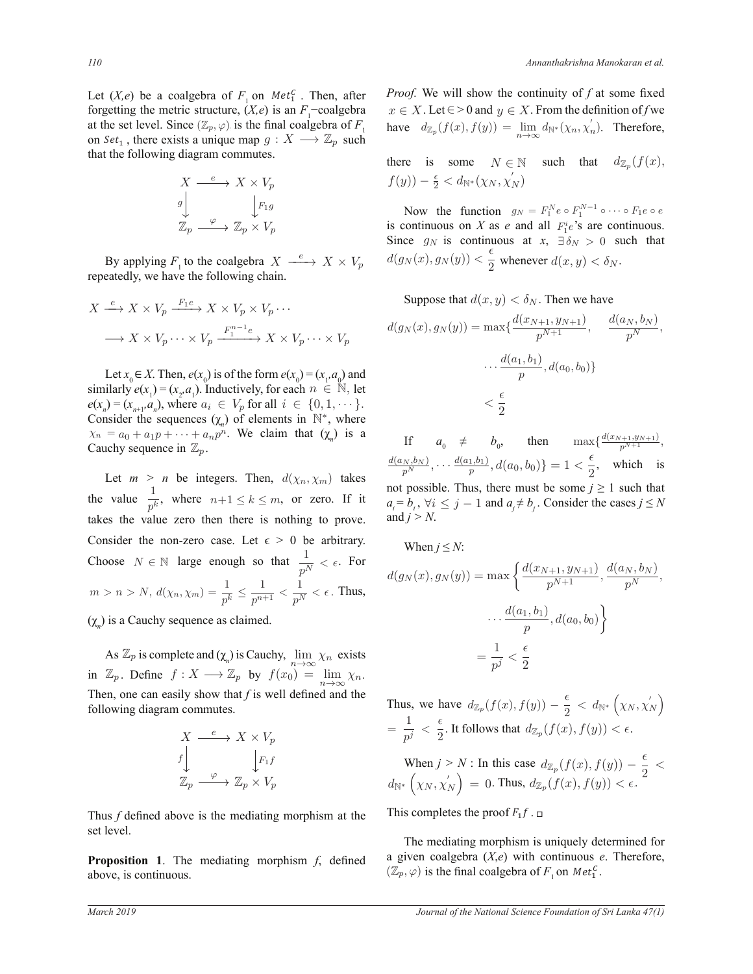Let  $(X,e)$  be a coalgebra of  $F_1$  on  $Met_1^C$ . Then, after at the set level. Since  $(\mathbb{Z}_p, \varphi)$  is the final coalgebra of  $F_1$  $\frac{d}{dx}$  that the following diagram commutes. forgetting the metric structure,  $(X,e)$  is an  $F_1$ -coalgebra on  $Set_1$ , there exists a unique map  $g : X \longrightarrow \mathbb{Z}_p$  such  $\frac{101g}{4}$ 

$$
X \xrightarrow{e} X \times V_p
$$
  
\n
$$
g \downarrow \qquad \qquad \downarrow F_1 g
$$
  
\n
$$
\mathbb{Z}_p \xrightarrow{\varphi} \mathbb{Z}_p \times V_p
$$

By applying  $F_1$  to the coalgebra  $X \xrightarrow{e} X \times V_p$ repeatedly, we have the following chain.

$$
X \xrightarrow{e} X \times V_p \xrightarrow{F_1e} X \times V_p \times V_p \cdots
$$

$$
\longrightarrow X \times V_p \cdots \times V_p \xrightarrow{F_1^{n-1}e} X \times V_p \cdots \times V_p
$$

Let  $x_0 \in X$ . Then,  $e(x_0)$  is of the form  $e(x_0) = (x_1, a_0)$  and similarly  $e(x_1) = (x_2, a_1)$ . Inductively, for each  $n \in \mathbb{N}$ , let  $e(x_n) = (x_{n+1}, a_n)$ , where  $a_i \in V_p$  for all  $i \in \{0, 1, \dots\}$ .  $\lt \frac{1}{2}$ Consider the sequences  $(\chi_n)$  of elements in  $\mathbb{N}^*$ , where  $\chi_n = a_0 + a_1 p + \cdots + a_n p^n$ . We claim that  $(\chi_n)$  is a Cauchy sequence in  $\mathbb{Z}_n$ .

Let  $m > n$  be integers. Then,  $d(\chi_n, \chi_m)$  takes the value  $\frac{1}{p^k}$ , where  $n+1 \le k \le m$ , or zero. If it takes the value zero then there is nothing to prove. Consider the non-zero case. Let  $\epsilon > 0$  be arbitrary. Choose  $N \in \mathbb{N}$  large enough so that  $\frac{1}{p^N} < \epsilon$ . For  $m > n > N, d(\chi_n, \chi_m) = \frac{1}{p^k} \leq \frac{1}{p^{n+1}}$  $\frac{1}{p^{n+1}} < \frac{1}{p^N}$  $\frac{1}{p^N} < \epsilon$ . Thus,

 $(\chi_n)$  is a Cauchy sequence as claimed.

As  $\mathbb{Z}_p$  is complete and  $(\chi_n)$  is Cauchy,  $\lim_{n \to \infty} \chi_n$  exists in  $\mathbb{Z}_p$ . Define  $f : X \longrightarrow \mathbb{Z}_p$  by  $f(x_0) = \lim_{n \to \infty} \chi_n$ . Then, one can easily show that  $f$  is well defined and the following diagram commutes.

$$
X \xrightarrow{e} X \times V_p
$$
  
\n
$$
f \downarrow \qquad \qquad \downarrow F_1 f
$$
  
\n
$$
\mathbb{Z}_p \xrightarrow{\varphi} \mathbb{Z}_p \times V_p
$$

Thus *f* defined above is the mediating morphism at the set level.

**Proposition 1.** The mediating morphism *f*, defined above, is continuous.

*Proof.* We will show the continuity of f at some fixed  $x \in X$ . Let  $\in$  > 0 and  $y \in X$ . From the definition of f we have  $d_{\mathbb{Z}_p}(f(x), f(y)) = \lim_{n \to \infty} d_{\mathbb{N}^*}(\chi_n, \chi'_n)$  $\binom{n}{n}$ . Therefore,

there is some  $N \in \mathbb{N}$  such that  $d_{\mathbb{Z}_p}(f(x))$ ,  $f(y)) - \frac{\epsilon}{2} < d_{\mathbb{N}^*}(\chi_N, \chi_N')$ 

Now the function  $g_N = F_1^N e \circ F_1^{N-1} \circ \cdots \circ F_1 e \circ e$ is continuous on *X* as *e* and all  $F_1^i e$ 's are continuous. Since  $g_N$  is continuous at  $x$ ,  $\exists \delta_N > 0$  such that  $d(g_N(x), g_N(y)) < \frac{\epsilon}{2}$  $\frac{1}{2}$  whenever  $d(x, y) < \delta_N$ .

Suppose that  $d(x, y) < \delta_N$ . Then we have

$$
d(g_N(x), g_N(y)) = \max\{\frac{d(x_{N+1}, y_{N+1})}{p^{N+1}}, \quad \frac{d(a_N, b_N)}{p^N},
$$

$$
\cdots \frac{d(a_1, b_1)}{p}, d(a_0, b_0)\}
$$

$$
< \frac{\epsilon}{2}
$$

If  $a_0 \neq b_0$ , then  $\max\{\frac{d(x_{N+1}, y_{N+1})}{p^{N+1}},\}$  $\frac{d(a_N,b_N)}{p^N},\cdots\frac{d(a_1,b_1)}{p}$  $\frac{a_1,b_1}{p}, d(a_0,b_0)\} = 1 < \frac{\epsilon}{2}$  $\frac{1}{2}$ , which is not possible. Thus, there must be some  $j \ge 1$  such that  $a_i = b_i$ ,  $\forall i \leq j - 1$  and  $a_i \neq b_j$ . Consider the cases  $j \leq N$ and  $j > N$ .

When 
$$
j \le N
$$
:  
\n
$$
d(g_N(x), g_N(y)) = \max \left\{ \frac{d(x_{N+1}, y_{N+1})}{p^{N+1}}, \frac{d(a_N, b_N)}{p^N}, \dots, \frac{d(a_1, b_1)}{p}, d(a_0, b_0) \right\}
$$
\n
$$
= \frac{1}{p^j} < \frac{\epsilon}{2}
$$

Thus, we have 
$$
d_{\mathbb{Z}_p}(f(x), f(y)) - \frac{\epsilon}{2} < d_{\mathbb{N}^*}(\chi_N, \chi'_N)
$$
  
=  $\frac{1}{p^j} < \frac{\epsilon}{2}$ . It follows that  $d_{\mathbb{Z}_p}(f(x), f(y)) < \epsilon$ .

When  $j > N$ : In this case  $d_{\mathbb{Z}_p}(f(x), f(y)) - \frac{\epsilon}{2}$  $\frac{1}{2}$  <  $d_{\mathbb{N}^*}\left(\chi_N, \chi_{j}^{'}\right)$  $\binom{X}{N} = 0$ . Thus,  $d_{\mathbb{Z}_p}(f(x), f(y)) < \epsilon$ . In this case  $d_{\mathbb{Z}}$  (f  $= 0.$  Thus,  $a_{\parallel}$ nis case  $d_{\mathbb{Z}_p}$  $\lim_{p \to \infty} u_{\mathbb{Z}_p}$  $\partial_{\mathbb{Z}_m}(f(x),f(y))$  $\mathbb{Z}_p \setminus J(\mathcal{Y}), J(\mathcal{Y}) \subset \mathbb{C}.$ 

This completes the proof  $F_1 f$ .  $\Box$  $\overline{\mathbf{B}}$ 

The mediating morphism is uniquely determined for  $\overline{\text{Tr}}$ defined a given coalgebra  $(X, \mathcal{C})$  while committed it is expressed.<br>  $(\mathbb{Z}_p, \varphi)$  is the final coalgebra of  $F_1$  on  $Met_1^c$ . a given coalgebra  $(X,e)$  with continuous *e*. Therefore,<br> $(\mathbb{Z} \times e)$  is the final coalgebra of *E* on *Mat<sup>C</sup>* ܽ ڮ ଵܽ ܽ ൌ ሻ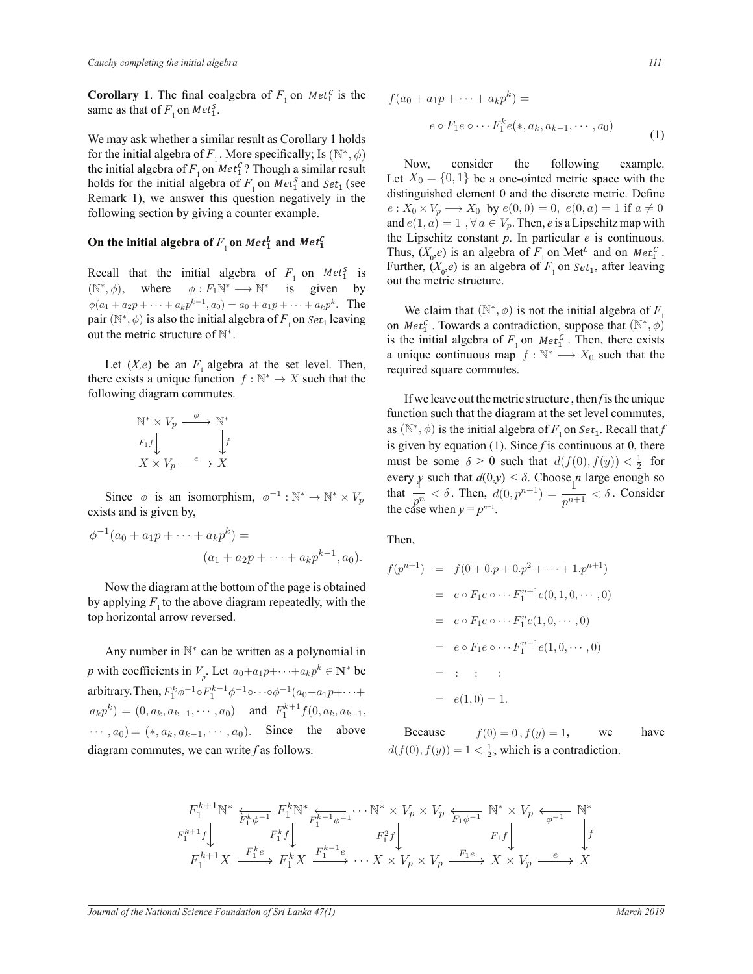**Corollary 1**. The final coalgebra of  $F_1$  on  $Met_1^C$  is the same as that of  $F_1$  on  $Met_1^S$ . The final coalgebra of  $F$  on  $Met^C$  is the  $f(x)$  $\overline{a}$ 

for the initial algebra of *F*<sub>1</sub>. More specifically; Is ( $\mathbb{N}^*, \phi$ ) Now consider ougn a simir.<br>Data simir Remark 1), we answer this question negatively in the We may ask whether a similar result as Corollary 1 holds the initial algebra of  $F_1$  on  $Met_1^C$ ? Though a similar result holds for the initial algebra of  $F_1$  on  $Met_1^S$  and  $Set_1$  (see tion by giving a counter example.  $e : X_0$ <br>and  $e$ result as Corollary 1 ho following section by giving a counter example. ds for the initial algebra of  $F_1$  on Met<sub>1</sub><sup>5</sup> and So  $\mathbf{S}$ 

#### ll algebra of  $F_{\overline{1}}$ oı On the initial algebra of  $F_{_1}$  on  $Met^L_{\bf 1}$  and  $Met^C_{\bf 1}$

Recall that the initial algebra of  $F_1$  on  $Met_1^S$  is  $\phi(a_1 + a_2p + \dots + a_kp^{k-1}, a_0) = a_0 + a_1p + \dots + a_kp^k$ . The  $(N^*, \phi)$ , where  $\phi : F_1 N^* \longrightarrow N^*$  is given by s also the initial algebra of  $F_1$  or by  $\mathcal{C}^{\text{max}}_{\text{max}}$ pair  $(N^*, \phi)$  is also the initial algebra of *F*<sub>1</sub> on *Set*<sub>1</sub> leaving out the metric structure of  $\mathbb{N}^*$ .

> there exists a unique function  $f : \mathbb{N}^* \to X$  such that the following diagram commutes. Let  $(X,e)$  be an  $F_1$  algebra at the set level. Then, ϭϭ͘ ܵ݁ݐ<sup>ଵ</sup>

$$
\begin{array}{ccc}\n\mathbb{N}^* \times V_p & \xrightarrow{\phi} & \mathbb{N}^* \\
F_1 f \downarrow & & \downarrow f \\
X \times V_p & \xrightarrow{e} & X\n\end{array}
$$

ism,  $\phi^{-1}: \mathbb{N}^* \to \mathbb{N}^* \times$ Since  $\phi$  is an isomorphism,  $\phi^{-1}: \mathbb{N}^* \to \mathbb{N}^* \times V_p$ exists and is given by,

$$
\phi^{-1}(a_0 + a_1 p + \dots + a_k p^k) =
$$
  

$$
(a_1 + a_2 p + \dots + a_k p^{k-1}, a_0).
$$

Now the diagram at the bottom of the page is obtained by applying  $F_1$  to the above diagram repeatedly, with the top horizontal arrow reversed.

Any number in  $\mathbb{N}^*$  can be written as a polynomial in *p* with coefficients in  $V_p$ . Let  $a_0 + a_1 p + \cdots + a_k p^k \in \mathbb{N}^*$  be arbitrary. Then,  $F_1^k \phi^{-1} \circ F_1^{k-1} \phi^{-1} \circ \cdots \circ \phi^{-1} (a_0 + a_1 p + \cdots +$  $a_k p^k$  =  $(0, a_k, a_{k-1}, \dots, a_0)$  and  $F_1^{k+1} f(0, a_k, a_{k-1},$  $\cdots$ ,  $a_0$ ) = (\*,  $a_k$ ,  $a_{k-1}$ ,  $\cdots$ ,  $a_0$ ). Since the above diagram commutes, we can write f as follows.

$$
f(a_0 + a_1 p + \dots + a_k p^k) =
$$
  

$$
e \circ F_1 e \circ \dots F_1^k e(*, a_k, a_{k-1}, \dots, a_0)
$$
  

$$
g \circ f_1 e \circ \dots f_1^k e(*, a_k, a_{k-1}, \dots, a_0)
$$
 (1)

be the positive distribution of the discrete metric. Define  $e: X_0 \times V_p \longrightarrow X_0$  by  $e(0, 0) = 0$ ,  $e(0, a) = 1$  if  $a \neq 0$ etric space with out the metric structure. ͘  $F_1$  on  $Met_1^S$  Though a similar result<br>algebra of  $F_1$  on  $Met_1^S$  and  $Set_1$  (see Let  $X_0 = \{0, 1\}$  be a one-ointed metric space with the  $\frac{1}{k}$  Now consider example. der the fol  $\mathbf{B}$ Now, consider the following example. distinguished element 0 and the discrete metric. Define and  $e(1, a) = 1$ ,  $\forall a \in V_p$ . Then, e is a Lipschitz map with the Lipschitz constant *p*. In particular *e* is continuous. Thus,  $(X_0, e)$  is an algebra of  $F_1$  on Met<sup> $L_1$ </sup> and on Met<sup> $C_1$ </sup>. Further,  $(X_0, e)$  is an algebra of  $F_1$  on  $Set_1$ , after leaving<br>surt the metric structure  $e(0,0) = 0, e(0,a)$  $\overline{\mathcal{L}}$ 

required square commutes. We claim that  $(N^*, \phi)$  is not the initial algebra of  $F_1$  $\frac{1}{\pi}$  than  $\frac{1}{\pi}$ a unique continuous map  $f : \mathbb{N}^* \longrightarrow X_0$  such that the  $\frac{1}{2}$  on  $Met_1^c$ . Towards a contradiction, suppose that  $(N^*)$  $\ddot{\mathbf{u}}$  $\theta$  $, \phi$ ) is the initial algebra of  $F_1$  on  $Met_1^C$ . Then, there exists  $\frac{1}{2}$ 

 $\frac{11 \text{ W}}{2}$ as  $(\mathbb{N}^*, \phi)$  is the initial algebra of  $F_1$  on  $Set_1$ . Recall that *f* must be some  $\delta > 0$  such that  $d(f(0), f(y)) < \frac{1}{2}$  for If we leave out the metric structure, then f is the unique<br>otion quality that the diagram of the set layel commutes function such that the diagram at the set level commutes, is given by equation (1). Since *f* is continuous at 0, there  $\lambda < \delta$  Choos every *y* such that  $d(0,y) < \delta$ . Choose *n* large enough so that  $\frac{1}{p^n} < \delta$ . Then,  $d(0, p^{n+1}) = \frac{1}{p^{n+1}} < \delta$ . Consider the case when  $y = r^{n+1}$ . the case when  $y = p^{n+1}$ .

Then,

$$
f(p^{n+1}) = f(0 + 0 \cdot p + 0 \cdot p^2 + \dots + 1 \cdot p^{n+1})
$$
  
=  $e \circ F_1 e \circ \dots F_1^{n+1} e(0, 1, 0, \dots, 0)$   
=  $e \circ F_1 e \circ \dots F_1^n e(1, 0, \dots, 0)$   
=  $e \circ F_1 e \circ \dots F_1^{n-1} e(1, 0, \dots, 0)$   
=  $\vdots$  :   
=  $e(1, 0) = 1$ .

Because  $f(0) = 0$ ,  $f(y) = 1$ , we have  $d(f(0), f(y)) = 1 < \frac{1}{2}$ , which is a contradiction.

$$
\begin{array}{ccc}\nF_1^{k+1}\mathbb{N}^* & F_1^k\mathbb{N}^* & F_1^{k+1}\phi^{-1} \\
F_1^{k+1}f & F_1^k f & F_1^{k-1}f & F_1^2 f \\
F_1^{k+1}f & F_1^k f & F_1^k X \\
F_1^{k+1}f & F_1^k X & F_1^{k-1}e & \cdots X \times V_p \times V_p & \xrightarrow{F_1e} X \times V_p & e \rightarrow X \\
F_1^{k+1}f & F_1^k f & F_1^k f & F_1^k f & F_1^k f & F_1^k f & F_1^k f & F_1^k f & F_1^k f & F_1^k f & F_1^k f & F_1^k f & F_1^k f & F_1^k f & F_1^k f & F_1^k f & F_1^k f & F_1^k f & F_1^k f & F_1^k f & F_1^k f & F_1^k f & F_1^k f & F_1^k f & F_1^k f & F_1^k f & F_1^k f & F_1^k f & F_1^k f & F_1^k f & F_1^k f & F_1^k f & F_1^k f & F_1^k f & F_1^k f & F_1^k f & F_1^k f & F_1^k f & F_1^k f & F_1^k f & F_1^k f & F_1^k f & F_1^k f & F_1^k f & F_1^k f & F_1^k f & F_1^k f & F_1^k f & F_1^k f & F_1^k f & F_1^k f & F_1^k f & F_1^k f & F_1^k f & F_1^k f & F_1^k f & F_1^k f & F_1^k f & F_1^k f & F_1^k f & F_1^k f & F_1^k f & F_1^k f & F_1^k f & F_1^k f & F_1^k f & F_1^k f & F_1^k f & F_1^k f & F_1^k f & F_1^k f & F_1^k f & F_1^k f & F_1^k f & F_1^k f & F_1^k f & F_1^k f & F_1^k f & F_1^k f & F_1^k f & F_1^k f & F_1^k f & F_1^k f & F_1^k f &
$$

ϲ͘ ĚĄŵĞŬ